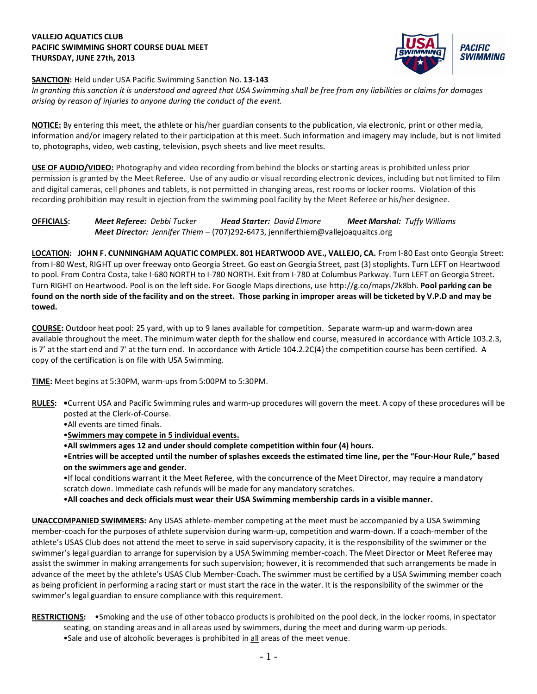## **VALLEJO AQUATICS CLUB PACIFIC SWIMMING SHORT COURSE DUAL MEET THURSDAY, JUNE 27th, 2013**



## **SANCTION:** Held under USA Pacific Swimming Sanction No. **13-143**

*In granting this sanction it is understood and agreed that USA Swimming shall be free from any liabilities or claims for damages arising by reason of injuries to anyone during the conduct of the event.*

**NOTICE:** By entering this meet, the athlete or his/her guardian consents to the publication, via electronic, print or other media, information and/or imagery related to their participation at this meet. Such information and imagery may include, but is not limited to, photographs, video, web casting, television, psych sheets and live meet results.

**USE OF AUDIO/VIDEO:** Photography and video recording from behind the blocks or starting areas is prohibited unless prior permission is granted by the Meet Referee. Use of any audio or visual recording electronic devices, including but not limited to film and digital cameras, cell phones and tablets, is not permitted in changing areas, rest rooms or locker rooms. Violation of this recording prohibition may result in ejection from the swimming pool facility by the Meet Referee or his/her designee.

**OFFICIALS:** *Meet Referee: Debbi Tucker Head Starter: David Elmore Meet Marshal: Tuffy Williams Meet Director: Jennifer Thiem* – (707)292-6473, jenniferthiem@vallejoaquaitcs.org

**LOCATION: JOHN F. CUNNINGHAM AQUATIC COMPLEX. 801 HEARTWOOD AVE., VALLEJO, CA.** From I-80 East onto Georgia Street: from I-80 West, RIGHT up over freeway onto Georgia Street. Go east on Georgia Street, past (3) stoplights. Turn LEFT on Heartwood to pool. From Contra Costa, take I-680 NORTH to I-780 NORTH. Exit from I-780 at Columbus Parkway. Turn LEFT on Georgia Street. Turn RIGHT on Heartwood. Pool is on the left side. For Google Maps directions, use http://g.co/maps/2k8bh. **Pool parking can be found on the north side of the facility and on the street. Those parking in improper areas will be ticketed by V.P.D and may be towed.**

**COURSE:** Outdoor heat pool: 25 yard, with up to 9 lanes available for competition. Separate warm-up and warm-down area available throughout the meet. The minimum water depth for the shallow end course, measured in accordance with Article 103.2.3, is 7' at the start end and 7' at the turn end. In accordance with Article 104.2.2C(4) the competition course has been certified. A copy of the certification is on file with USA Swimming.

**TIME:** Meet begins at 5:30PM, warm-ups from 5:00PM to 5:30PM.

- **RULES: •**Current USA and Pacific Swimming rules and warm-up procedures will govern the meet. A copy of these procedures will be posted at the Clerk-of-Course.
	- •All events are timed finals.

•**Swimmers may compete in 5 individual events.**

- •**All swimmers ages 12 and under should complete competition within four (4) hours.**
- •**Entries will be accepted until the number of splashes exceeds the estimated time line, per the "Four-Hour Rule," based on the swimmers age and gender.**

•If local conditions warrant it the Meet Referee, with the concurrence of the Meet Director, may require a mandatory scratch down. Immediate cash refunds will be made for any mandatory scratches.

•**All coaches and deck officials must wear their USA Swimming membership cards in a visible manner.** 

**UNACCOMPANIED SWIMMERS:** Any USAS athlete-member competing at the meet must be accompanied by a USA Swimming member-coach for the purposes of athlete supervision during warm-up, competition and warm-down. If a coach-member of the athlete's USAS Club does not attend the meet to serve in said supervisory capacity, it is the responsibility of the swimmer or the swimmer's legal guardian to arrange for supervision by a USA Swimming member-coach. The Meet Director or Meet Referee may assist the swimmer in making arrangements for such supervision; however, it is recommended that such arrangements be made in advance of the meet by the athlete's USAS Club Member-Coach. The swimmer must be certified by a USA Swimming member coach as being proficient in performing a racing start or must start the race in the water. It is the responsibility of the swimmer or the swimmer's legal guardian to ensure compliance with this requirement.

- **RESTRICTIONS:** •Smoking and the use of other tobacco products is prohibited on the pool deck, in the locker rooms, in spectator seating, on standing areas and in all areas used by swimmers, during the meet and during warm-up periods.
	- •Sale and use of alcoholic beverages is prohibited in all areas of the meet venue.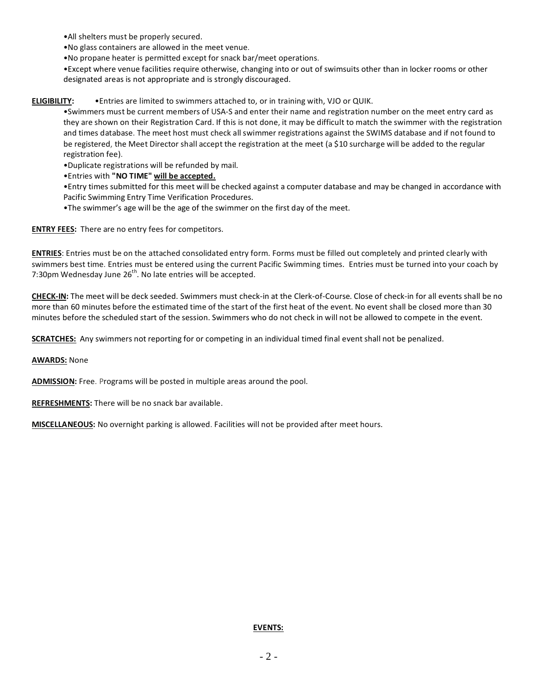•All shelters must be properly secured.

- •No glass containers are allowed in the meet venue.
- •No propane heater is permitted except for snack bar/meet operations.

•Except where venue facilities require otherwise, changing into or out of swimsuits other than in locker rooms or other designated areas is not appropriate and is strongly discouraged.

**ELIGIBILITY:** •Entries are limited to swimmers attached to, or in training with, VJO or QUIK.

•Swimmers must be current members of USA-S and enter their name and registration number on the meet entry card as they are shown on their Registration Card. If this is not done, it may be difficult to match the swimmer with the registration and times database. The meet host must check all swimmer registrations against the SWIMS database and if not found to be registered, the Meet Director shall accept the registration at the meet (a \$10 surcharge will be added to the regular registration fee).

•Duplicate registrations will be refunded by mail.

•Entries with **"NO TIME" will be accepted.**

•Entry times submitted for this meet will be checked against a computer database and may be changed in accordance with Pacific Swimming Entry Time Verification Procedures.

•The swimmer's age will be the age of the swimmer on the first day of the meet.

**ENTRY FEES:** There are no entry fees for competitors.

**ENTRIES**: Entries must be on the attached consolidated entry form. Forms must be filled out completely and printed clearly with swimmers best time. Entries must be entered using the current Pacific Swimming times. Entries must be turned into your coach by 7:30pm Wednesday June  $26^{th}$ . No late entries will be accepted.

**CHECK-IN:** The meet will be deck seeded. Swimmers must check-in at the Clerk-of-Course. Close of check-in for all events shall be no more than 60 minutes before the estimated time of the start of the first heat of the event. No event shall be closed more than 30 minutes before the scheduled start of the session. Swimmers who do not check in will not be allowed to compete in the event.

**SCRATCHES:** Any swimmers not reporting for or competing in an individual timed final event shall not be penalized.

**AWARDS:** None

**ADMISSION:** Free. Programs will be posted in multiple areas around the pool.

**REFRESHMENTS:** There will be no snack bar available.

**MISCELLANEOUS:** No overnight parking is allowed. Facilities will not be provided after meet hours.

**EVENTS:**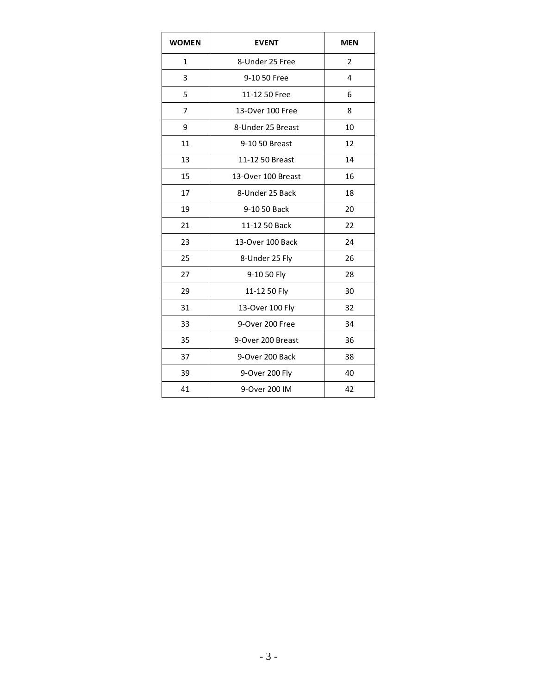| <b>WOMEN</b> | <b>EVENT</b>       | <b>MEN</b>     |  |  |
|--------------|--------------------|----------------|--|--|
| 1            | 8-Under 25 Free    | $\overline{2}$ |  |  |
| 3            | 9-10 50 Free       | 4              |  |  |
| 5            | 11-12 50 Free      | 6              |  |  |
| 7            | 13-Over 100 Free   | 8              |  |  |
| 9            | 8-Under 25 Breast  | 10             |  |  |
| 11           | 9-10 50 Breast     | 12             |  |  |
| 13           | 11-12 50 Breast    | 14             |  |  |
| 15           | 13-Over 100 Breast | 16             |  |  |
| 17           | 8-Under 25 Back    | 18             |  |  |
| 19           | 9-10 50 Back       | 20             |  |  |
| 21           | 11-12 50 Back      | 22             |  |  |
| 23           | 13-Over 100 Back   | 24             |  |  |
| 25           | 8-Under 25 Fly     | 26             |  |  |
| 27           | 9-10 50 Fly        | 28             |  |  |
| 29           | 11-12 50 Fly       | 30             |  |  |
| 31           | 13-Over 100 Fly    | 32             |  |  |
| 33           | 9-Over 200 Free    | 34             |  |  |
| 35           | 9-Over 200 Breast  | 36             |  |  |
| 37           | 9-Over 200 Back    | 38             |  |  |
| 39           | 9-Over 200 Fly     | 40             |  |  |
| 41           | 9-Over 200 IM      | 42             |  |  |